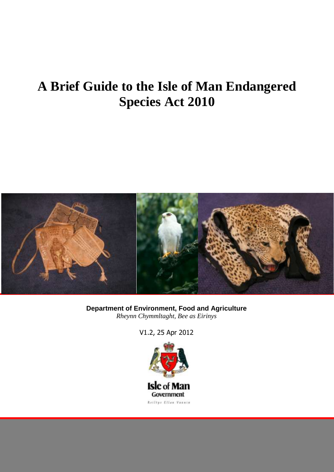# **A Brief Guide to the Isle of Man Endangered Species Act 2010**



**Department of Environment, Food and Agriculture** *Rheynn Chymmltaght, Bee as Eirinys*

V1.2, 25 Apr 2012

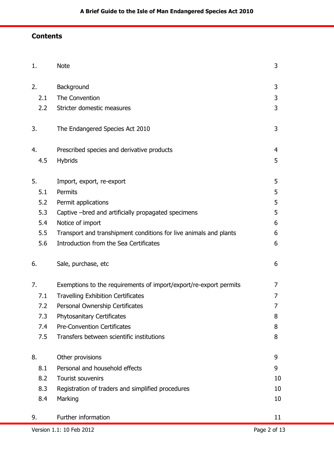# **Contents**

| 1.                                       | <b>Note</b>                                                       | 3              |
|------------------------------------------|-------------------------------------------------------------------|----------------|
| 2.                                       | Background                                                        | 3              |
| 2.1                                      | The Convention                                                    | 3              |
| 2.2                                      | Stricter domestic measures                                        | 3              |
| 3.                                       | The Endangered Species Act 2010                                   | 3              |
| 4.                                       | Prescribed species and derivative products                        | $\overline{4}$ |
| 4.5                                      | <b>Hybrids</b>                                                    | 5              |
| 5.                                       | Import, export, re-export                                         | 5              |
| 5.1                                      | Permits                                                           | 5              |
| 5.2                                      | Permit applications                                               | 5              |
| 5.3                                      | Captive -bred and artificially propagated specimens               | 5              |
| 5.4                                      | Notice of import                                                  | 6              |
| 5.5                                      | Transport and transhipment conditions for live animals and plants | 6              |
| 5.6                                      | Introduction from the Sea Certificates                            | 6              |
| 6.                                       | Sale, purchase, etc                                               | 6              |
| 7.                                       | Exemptions to the requirements of import/export/re-export permits | 7              |
| 7.1                                      | <b>Travelling Exhibition Certificates</b>                         | 7              |
| 7.2                                      | Personal Ownership Certificates                                   | 7              |
| 7.3                                      | <b>Phytosanitary Certificates</b>                                 | 8              |
| 7.4                                      | <b>Pre-Convention Certificates</b>                                | 8              |
| 7.5                                      | Transfers between scientific institutions                         | 8              |
| 8.                                       | Other provisions                                                  | 9              |
| 8.1                                      | Personal and household effects                                    | 9              |
| 8.2                                      | Tourist souvenirs                                                 | 10             |
| 8.3                                      | Registration of traders and simplified procedures                 | 10             |
| 8.4                                      | Marking                                                           | 10             |
| 9.                                       | Further information                                               | 11             |
| Page 2 of 13<br>Version 1.1: 10 Feb 2012 |                                                                   |                |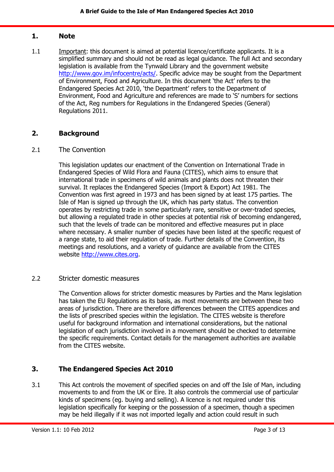#### <span id="page-2-0"></span>**1. Note**

1.1 Important: this document is aimed at potential licence/certificate applicants. It is a simplified summary and should not be read as legal guidance. The full Act and secondary legislation is available from the Tynwald Library and the government website [http://www.gov.im/infocentre/acts/.](http://www.gov.im/infocentre/acts/) Specific advice may be sought from the Department of Environment, Food and Agriculture. In this document 'the Act' refers to the Endangered Species Act 2010, 'the Department' refers to the Department of Environment, Food and Agriculture and references are made to 'S' numbers for sections of the Act, Reg numbers for Regulations in the Endangered Species (General) Regulations 2011.

## <span id="page-2-1"></span>**2. Background**

#### <span id="page-2-2"></span>2.1 The Convention

This legislation updates our enactment of the Convention on International Trade in Endangered Species of Wild Flora and Fauna (CITES), which aims to ensure that international trade in specimens of wild animals and plants does not threaten their survival. It replaces the Endangered Species (Import & Export) Act 1981. The Convention was first agreed in 1973 and has been signed by at least 175 parties. The Isle of Man is signed up through the UK, which has party status. The convention operates by restricting trade in some particularly rare, sensitive or over-traded species, but allowing a regulated trade in other species at potential risk of becoming endangered, such that the levels of trade can be monitored and effective measures put in place where necessary. A smaller number of species have been listed at the specific request of a range state, to aid their regulation of trade. Further details of the Convention, its meetings and resolutions, and a variety of guidance are available from the CITES website [http://www.cites.org.](http://www.cites.org/)

#### <span id="page-2-3"></span>2.2 Stricter domestic measures

The Convention allows for stricter domestic measures by Parties and the Manx legislation has taken the EU Regulations as its basis, as most movements are between these two areas of jurisdiction. There are therefore differences between the CITES appendices and the lists of prescribed species within the legislation. The CITES website is therefore useful for background information and international considerations, but the national legislation of each jurisdiction involved in a movement should be checked to determine the specific requirements. Contact details for the management authorities are available from the CITES website.

## <span id="page-2-4"></span>**3. The Endangered Species Act 2010**

3.1 This Act controls the movement of specified species on and off the Isle of Man, including movements to and from the UK or Eire. It also controls the commercial use of particular kinds of specimens (eg. buying and selling). A licence is not required under this legislation specifically for keeping or the possession of a specimen, though a specimen may be held illegally if it was not imported legally and action could result in such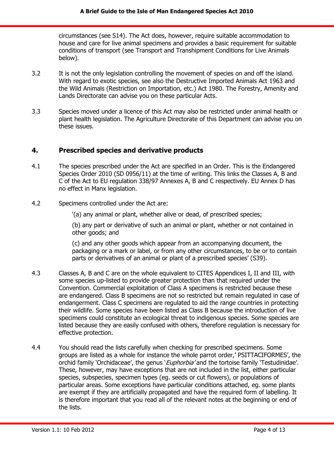circumstances (see S14). The Act does, however, require suitable accommodation to house and care for live animal specimens and provides a basic requirement for suitable conditions of transport (see Transport and Transhipment Conditions for Live Animals below).

- 3.2 It is not the only legislation controlling the movement of species on and off the island. With regard to exotic species, see also the Destructive Imported Animals Act 1963 and the Wild Animals (Restriction on Importation, etc.) Act 1980. The Forestry, Amenity and Lands Directorate can advise you on these particular Acts.
- 3.3 Species moved under a licence of this Act may also be restricted under animal health or plant health legislation. The Agriculture Directorate of this Department can advise you on these issues.

## <span id="page-3-0"></span>**4. Prescribed species and derivative products**

- 4.1 The species prescribed under the Act are specified in an Order. This is the Endangered Species Order 2010 (SD 0956/11) at the time of writing. This links the Classes A, B and C of the Act to EU regulation 338/97 Annexes A, B and C respectively. EU Annex D has no effect in Manx legislation.
- 4.2 Specimens controlled under the Act are:
	- '(a) any animal or plant, whether alive or dead, of prescribed species;

(b) any part or derivative of such an animal or plant, whether or not contained in other goods; and

(c) and any other goods which appear from an accompanying document, the packaging or a mark or label, or from any other circumstances, to be or to contain parts or derivatives of an animal or plant of a prescribed species' (S39).

- 4.3 Classes A, B and C are on the whole equivalent to CITES Appendices I, II and III, with some species up-listed to provide greater protection than that required under the Convention. Commercial exploitation of Class A specimens is restricted because these are endangered. Class B specimens are not so restricted but remain regulated in case of endangerment. Class C specimens are regulated to aid the range countries in protecting their wildlife. Some species have been listed as Class B because the introduction of live specimens could constitute an ecological threat to indigenous species. Some species are listed because they are easily confused with others, therefore regulation is necessary for effective protection.
- 4.4 You should read the lists carefully when checking for prescribed specimens. Some groups are listed as a whole for instance the whole parrot order,' PSITTACIFORMES', the orchid family 'Orchidaceae', the genus '*Euphorbia'* and the tortoise family 'Testudinidae'. These, however, may have exceptions that are not included in the list, either particular species, subspecies, specimen types (eg. seeds or cut flowers), or populations of particular areas. Some exceptions have particular conditions attached, eg. some plants are exempt if they are artificially propagated and have the required form of labelling. It is therefore important that you read all of the relevant notes at the beginning or end of the lists.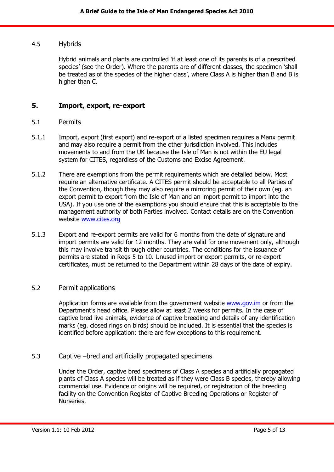#### <span id="page-4-0"></span>4.5 Hybrids

Hybrid animals and plants are controlled 'if at least one of its parents is of a prescribed species' (see the Order). Where the parents are of different classes, the specimen 'shall be treated as of the species of the higher class', where Class A is higher than B and B is higher than C.

## <span id="page-4-1"></span>**5. Import, export, re-export**

#### <span id="page-4-2"></span>5.1 Permits

- 5.1.1 Import, export (first export) and re-export of a listed specimen requires a Manx permit and may also require a permit from the other jurisdiction involved. This includes movements to and from the UK because the Isle of Man is not within the EU legal system for CITES, regardless of the Customs and Excise Agreement.
- 5.1.2 There are exemptions from the permit requirements which are detailed below. Most require an alternative certificate. A CITES permit should be acceptable to all Parties of the Convention, though they may also require a mirroring permit of their own (eg. an export permit to export from the Isle of Man and an import permit to import into the USA). If you use one of the exemptions you should ensure that this is acceptable to the management authority of both Parties involved. Contact details are on the Convention website [www.cites.org](http://www.cites.org/)
- 5.1.3 Export and re-export permits are valid for 6 months from the date of signature and import permits are valid for 12 months. They are valid for one movement only, although this may involve transit through other countries. The conditions for the issuance of permits are stated in Regs 5 to 10. Unused import or export permits, or re-export certificates, must be returned to the Department within 28 days of the date of expiry.

#### <span id="page-4-3"></span>5.2 Permit applications

Application forms are available from the government website [www.gov.im](http://www.gov.im/) or from the Department's head office. Please allow at least 2 weeks for permits. In the case of captive bred live animals, evidence of captive breeding and details of any identification marks (eg. closed rings on birds) should be included. It is essential that the species is identified before application: there are few exceptions to this requirement.

#### <span id="page-4-4"></span>5.3 Captive –bred and artificially propagated specimens

Under the Order, captive bred specimens of Class A species and artificially propagated plants of Class A species will be treated as if they were Class B species, thereby allowing commercial use. Evidence or origins will be required, or registration of the breeding facility on the Convention Register of Captive Breeding Operations or Register of Nurseries.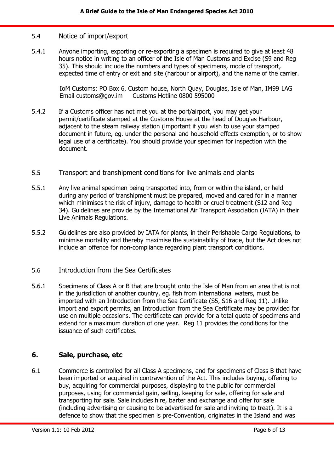#### <span id="page-5-0"></span>5.4 Notice of import/export

5.4.1 Anyone importing, exporting or re-exporting a specimen is required to give at least 48 hours notice in writing to an officer of the Isle of Man Customs and Excise (S9 and Reg 35). This should include the numbers and types of specimens, mode of transport, expected time of entry or exit and site (harbour or airport), and the name of the carrier.

> IoM Customs: PO Box 6, Custom house, North Quay, Douglas, Isle of Man, IM99 1AG Email [customs@gov.im](mailto:customs@gov.im) Customs Hotline 0800 595000

- 5.4.2 If a Customs officer has not met you at the port/airport, you may get your permit/certificate stamped at the Customs House at the head of Douglas Harbour, adjacent to the steam railway station (important if you wish to use your stamped document in future, eg. under the personal and household effects exemption, or to show legal use of a certificate). You should provide your specimen for inspection with the document.
- <span id="page-5-1"></span>5.5 Transport and transhipment conditions for live animals and plants
- 5.5.1 Any live animal specimen being transported into, from or within the island, or held during any period of transhipment must be prepared, moved and cared for in a manner which minimises the risk of injury, damage to health or cruel treatment (S12 and Reg 34). Guidelines are provide by the International Air Transport Association (IATA) in their Live Animals Regulations.
- 5.5.2 Guidelines are also provided by IATA for plants, in their Perishable Cargo Regulations, to minimise mortality and thereby maximise the sustainability of trade, but the Act does not include an offence for non-compliance regarding plant transport conditions.
- <span id="page-5-2"></span>5.6 Introduction from the Sea Certificates
- 5.6.1 Specimens of Class A or B that are brought onto the Isle of Man from an area that is not in the jurisdiction of another country, eg. fish from international waters, must be imported with an Introduction from the Sea Certificate (S5, S16 and Reg 11). Unlike import and export permits, an Introduction from the Sea Certificate may be provided for use on multiple occasions. The certificate can provide for a total quota of specimens and extend for a maximum duration of one year. Reg 11 provides the conditions for the issuance of such certificates.

#### <span id="page-5-3"></span>**6. Sale, purchase, etc**

6.1 Commerce is controlled for all Class A specimens, and for specimens of Class B that have been imported or acquired in contravention of the Act. This includes buying, offering to buy, acquiring for commercial purposes, displaying to the public for commercial purposes, using for commercial gain, selling, keeping for sale, offering for sale and transporting for sale. Sale includes hire, barter and exchange and offer for sale (including advertising or causing to be advertised for sale and inviting to treat). It is a defence to show that the specimen is pre-Convention, originates in the Island and was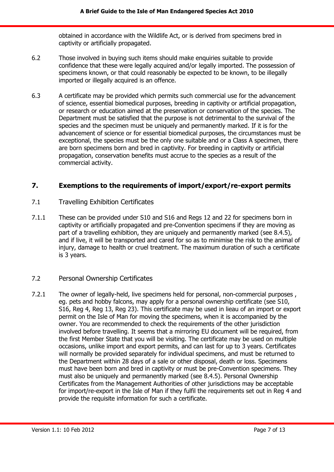obtained in accordance with the Wildlife Act, or is derived from specimens bred in captivity or artificially propagated.

- 6.2 Those involved in buying such items should make enquiries suitable to provide confidence that these were legally acquired and/or legally imported. The possession of specimens known, or that could reasonably be expected to be known, to be illegally imported or illegally acquired is an offence.
- 6.3 A certificate may be provided which permits such commercial use for the advancement of science, essential biomedical purposes, breeding in captivity or artificial propagation, or research or education aimed at the preservation or conservation of the species. The Department must be satisfied that the purpose is not detrimental to the survival of the species and the specimen must be uniquely and permanently marked. If it is for the advancement of science or for essential biomedical purposes, the circumstances must be exceptional, the species must be the only one suitable and or a Class A specimen, there are born specimens born and bred in captivity. For breeding in captivity or artificial propagation, conservation benefits must accrue to the species as a result of the commercial activity.

## <span id="page-6-0"></span>**7. Exemptions to the requirements of import/export/re-export permits**

- <span id="page-6-1"></span>7.1 Travelling Exhibition Certificates
- 7.1.1 These can be provided under S10 and S16 and Regs 12 and 22 for specimens born in captivity or artificially propagated and pre-Convention specimens if they are moving as part of a travelling exhibition, they are uniquely and permanently marked (see 8.4.5), and if live, it will be transported and cared for so as to minimise the risk to the animal of injury, damage to health or cruel treatment. The maximum duration of such a certificate is 3 years.

## <span id="page-6-2"></span>7.2 Personal Ownership Certificates

7.2.1 The owner of legally-held, live specimens held for personal, non-commercial purposes , eg. pets and hobby falcons, may apply for a personal ownership certificate (see S10, S16, Reg 4, Reg 13, Reg 23). This certificate may be used in lieau of an import or export permit on the Isle of Man for moving the specimens, when it is accompanied by the owner. You are recommended to check the requirements of the other jurisdiction involved before travelling. It seems that a mirroring EU document will be required, from the first Member State that you will be visiting. The certificate may be used on multiple occasions, unlike import and export permits, and can last for up to 3 years. Certificates will normally be provided separately for individual specimens, and must be returned to the Department within 28 days of a sale or other disposal, death or loss. Specimens must have been born and bred in captivity or must be pre-Convention specimens. They must also be uniquely and permanently marked (see 8.4.5). Personal Ownership Certificates from the Management Authorities of other jurisdictions may be acceptable for import/re-export in the Isle of Man if they fulfil the requirements set out in Reg 4 and provide the requisite information for such a certificate.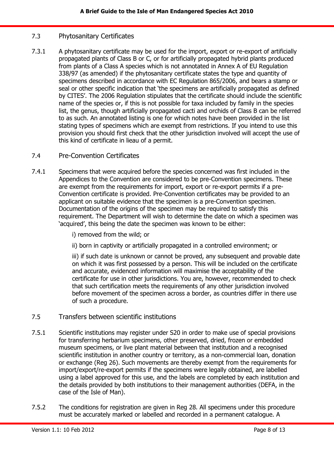## <span id="page-7-0"></span>7.3 Phytosanitary Certificates

7.3.1 A phytosanitary certificate may be used for the import, export or re-export of artificially propagated plants of Class B or C, or for artificially propagated hybrid plants produced from plants of a Class A species which is not annotated in Annex A of EU Regulation 338/97 (as amended) if the phytosanitary certificate states the type and quantity of specimens described in accordance with EC Regulation 865/2006, and bears a stamp or seal or other specific indication that 'the specimens are artificially propagated as defined by CITES'. The 2006 Regulation stipulates that the certificate should include the scientific name of the species or, if this is not possible for taxa included by family in the species list, the genus, though artificially propagated cacti and orchids of Class B can be referred to as such. An annotated listing is one for which notes have been provided in the list stating types of specimens which are exempt from restrictions. If you intend to use this provision you should first check that the other jurisdiction involved will accept the use of this kind of certificate in lieau of a permit.

#### <span id="page-7-1"></span>7.4 Pre-Convention Certificates

7.4.1 Specimens that were acquired before the species concerned was first included in the Appendices to the Convention are considered to be pre-Convention specimens. These are exempt from the requirements for import, export or re-export permits if a pre-Convention certificate is provided. Pre-Convention certificates may be provided to an applicant on suitable evidence that the specimen is a pre-Convention specimen. Documentation of the origins of the specimen may be required to satisfy this requirement. The Department will wish to determine the date on which a specimen was 'acquired', this being the date the specimen was known to be either:

i) removed from the wild; or

ii) born in captivity or artificially propagated in a controlled environment; or

iii) if such date is unknown or cannot be proved, any subsequent and provable date on which it was first possessed by a person. This will be included on the certificate and accurate, evidenced information will maximise the acceptability of the certificate for use in other jurisdictions. You are, however, recommended to check that such certification meets the requirements of any other jurisdiction involved before movement of the specimen across a border, as countries differ in there use of such a procedure.

#### <span id="page-7-2"></span>7.5 Transfers between scientific institutions

- 7.5.1 Scientific institutions may register under S20 in order to make use of special provisions for transferring herbarium specimens, other preserved, dried, frozen or embedded museum specimens, or live plant material between that institution and a recognised scientific institution in another country or territory, as a non-commercial loan, donation or exchange (Reg 26). Such movements are thereby exempt from the requirements for import/export/re-export permits if the specimens were legally obtained, are labelled using a label approved for this use, and the labels are completed by each institution and the details provided by both institutions to their management authorities (DEFA, in the case of the Isle of Man).
- 7.5.2 The conditions for registration are given in Reg 28. All specimens under this procedure must be accurately marked or labelled and recorded in a permanent catalogue. A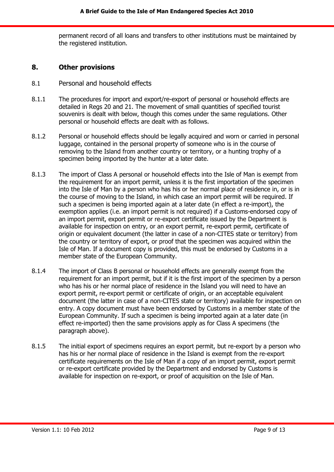permanent record of all loans and transfers to other institutions must be maintained by the registered institution.

#### <span id="page-8-0"></span>**8. Other provisions**

- <span id="page-8-1"></span>8.1 Personal and household effects
- 8.1.1 The procedures for import and export/re-export of personal or household effects are detailed in Regs 20 and 21. The movement of small quantities of specified tourist souvenirs is dealt with below, though this comes under the same regulations. Other personal or household effects are dealt with as follows.
- 8.1.2 Personal or household effects should be legally acquired and worn or carried in personal luggage, contained in the personal property of someone who is in the course of removing to the Island from another country or territory, or a hunting trophy of a specimen being imported by the hunter at a later date.
- 8.1.3 The import of Class A personal or household effects into the Isle of Man is exempt from the requirement for an import permit, unless it is the first importation of the specimen into the Isle of Man by a person who has his or her normal place of residence in, or is in the course of moving to the Island, in which case an import permit will be required. If such a specimen is being imported again at a later date (in effect a re-import), the exemption applies (i.e. an import permit is not required) if a Customs-endorsed copy of an import permit, export permit or re-export certificate issued by the Department is available for inspection on entry, or an export permit, re-export permit, certificate of origin or equivalent document (the latter in case of a non-CITES state or territory) from the country or territory of export, or proof that the specimen was acquired within the Isle of Man. If a document copy is provided, this must be endorsed by Customs in a member state of the European Community.
- 8.1.4 The import of Class B personal or household effects are generally exempt from the requirement for an import permit, but if it is the first import of the specimen by a person who has his or her normal place of residence in the Island you will need to have an export permit, re-export permit or certificate of origin, or an acceptable equivalent document (the latter in case of a non-CITES state or territory) available for inspection on entry. A copy document must have been endorsed by Customs in a member state of the European Community. If such a specimen is being imported again at a later date (in effect re-imported) then the same provisions apply as for Class A specimens (the paragraph above).
- 8.1.5 The initial export of specimens requires an export permit, but re-export by a person who has his or her normal place of residence in the Island is exempt from the re-export certificate requirements on the Isle of Man if a copy of an import permit, export permit or re-export certificate provided by the Department and endorsed by Customs is available for inspection on re-export, or proof of acquisition on the Isle of Man.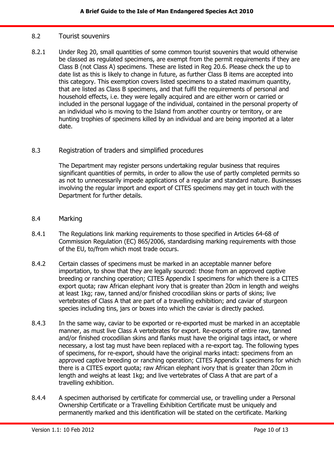#### <span id="page-9-0"></span>8.2 Tourist souvenirs

8.2.1 Under Reg 20, small quantities of some common tourist souvenirs that would otherwise be classed as regulated specimens, are exempt from the permit requirements if they are Class B (not Class A) specimens. These are listed in Reg 20.6. Please check the up to date list as this is likely to change in future, as further Class B items are accepted into this category. This exemption covers listed specimens to a stated maximum quantity, that are listed as Class B specimens, and that fulfil the requirements of personal and household effects, i.e. they were legally acquired and are either worn or carried or included in the personal luggage of the individual, contained in the personal property of an individual who is moving to the Island from another country or territory, or are hunting trophies of specimens killed by an individual and are being imported at a later date.

#### <span id="page-9-1"></span>8.3 Registration of traders and simplified procedures

The Department may register persons undertaking regular business that requires significant quantities of permits, in order to allow the use of partly completed permits so as not to unnecessarily impede applications of a regular and standard nature. Businesses involving the regular import and export of CITES specimens may get in touch with the Department for further details.

- <span id="page-9-2"></span>8.4 Marking
- 8.4.1 The Regulations link marking requirements to those specified in Articles 64-68 of Commission Regulation (EC) 865/2006, standardising marking requirements with those of the EU, to/from which most trade occurs.
- 8.4.2 Certain classes of specimens must be marked in an acceptable manner before importation, to show that they are legally sourced: those from an approved captive breeding or ranching operation; CITES Appendix I specimens for which there is a CITES export quota; raw African elephant ivory that is greater than 20cm in length and weighs at least 1kg; raw, tanned and/or finished crocodilian skins or parts of skins; live vertebrates of Class A that are part of a travelling exhibition; and caviar of sturgeon species including tins, jars or boxes into which the caviar is directly packed.
- 8.4.3 In the same way, caviar to be exported or re-exported must be marked in an acceptable manner, as must live Class A vertebrates for export. Re-exports of entire raw, tanned and/or finished crocodilian skins and flanks must have the original tags intact, or where necessary, a lost tag must have been replaced with a re-export tag. The following types of specimens, for re-export, should have the original marks intact: specimens from an approved captive breeding or ranching operation; CITES Appendix I specimens for which there is a CITES export quota; raw African elephant ivory that is greater than 20cm in length and weighs at least 1kg; and live vertebrates of Class A that are part of a travelling exhibition.
- 8.4.4 A specimen authorised by certificate for commercial use, or travelling under a Personal Ownership Certificate or a Travelling Exhibition Certificate must be uniquely and permanently marked and this identification will be stated on the certificate. Marking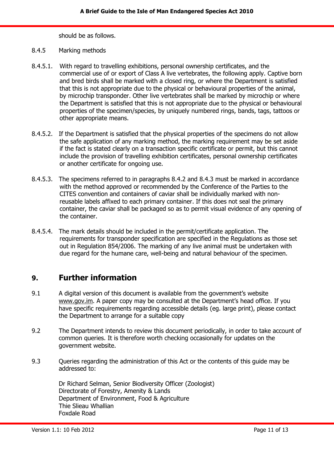should be as follows.

#### 8.4.5 Marking methods

- 8.4.5.1. With regard to travelling exhibitions, personal ownership certificates, and the commercial use of or export of Class A live vertebrates, the following apply. Captive born and bred birds shall be marked with a closed ring, or where the Department is satisfied that this is not appropriate due to the physical or behavioural properties of the animal, by microchip transponder. Other live vertebrates shall be marked by microchip or where the Department is satisfied that this is not appropriate due to the physical or behavioural properties of the specimen/species, by uniquely numbered rings, bands, tags, tattoos or other appropriate means.
- 8.4.5.2. If the Department is satisfied that the physical properties of the specimens do not allow the safe application of any marking method, the marking requirement may be set aside if the fact is stated clearly on a transaction specific certificate or permit, but this cannot include the provision of travelling exhibition certificates, personal ownership certificates or another certificate for ongoing use.
- 8.4.5.3. The specimens referred to in paragraphs 8.4.2 and 8.4.3 must be marked in accordance with the method approved or recommended by the Conference of the Parties to the CITES convention and containers of caviar shall be individually marked with nonreusable labels affixed to each primary container. If this does not seal the primary container, the caviar shall be packaged so as to permit visual evidence of any opening of the container.
- 8.4.5.4. The mark details should be included in the permit/certificate application. The requirements for transponder specification are specified in the Regulations as those set out in Regulation 854/2006. The marking of any live animal must be undertaken with due regard for the humane care, well-being and natural behaviour of the specimen.

# <span id="page-10-0"></span>**9. Further information**

- 9.1 A digital version of this document is available from the government's website www.gov.im. A paper copy may be consulted at the Department's head office. If you have specific requirements regarding accessible details (eg. large print), please contact the Department to arrange for a suitable copy
- 9.2 The Department intends to review this document periodically, in order to take account of common queries. It is therefore worth checking occasionally for updates on the government website.
- 9.3 Queries regarding the administration of this Act or the contents of this guide may be addressed to:

Dr Richard Selman, Senior Biodiversity Officer (Zoologist) Directorate of Forestry, Amenity & Lands Department of Environment, Food & Agriculture Thie Slieau Whallian Foxdale Road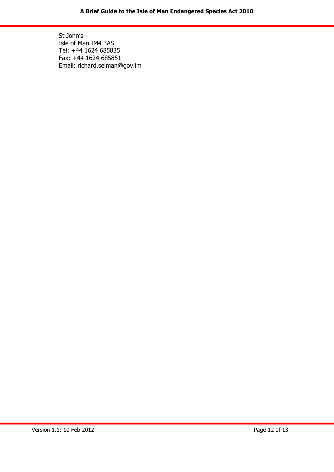St John's Isle of Man IM4 3AS Tel: +44 1624 685835 Fax: +44 1624 685851 Email: richard.selman@gov.im